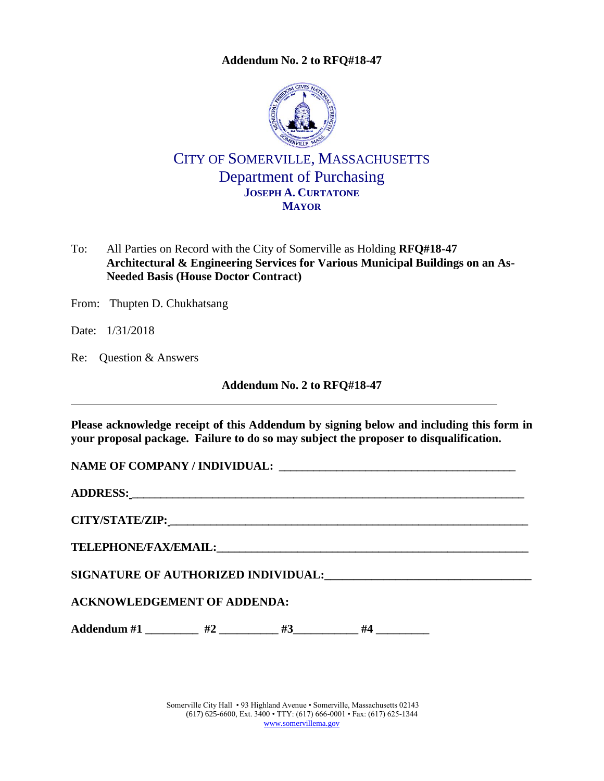**Addendum No. 2 to [RFQ#18-47](#page-0-0)**

<span id="page-0-0"></span>

# CITY OF SOMERVILLE, MASSACHUSETTS Department of Purchasing **JOSEPH A. CURTATONE MAYOR**

To: All Parties on Record with the City of Somerville as Holding **RFQ#18-47 Architectural & Engineering Services for Various Municipal Buildings on an As-Needed Basis (House Doctor Contract)**

From: Thupten D. Chukhatsang

Date: 1/31/2018

Re: Question & Answers

**Addendum No. 2 to [RFQ#18-47](#page-0-0)**

**Please acknowledge receipt of this Addendum by signing below and including this form in your proposal package. Failure to do so may subject the proposer to disqualification.**

NAME OF COMPANY / **INDIVIDUAL:** 

**ADDRESS: \_\_\_\_\_\_\_\_\_\_\_\_\_\_\_\_\_\_\_\_\_\_\_\_\_\_\_\_\_\_\_\_\_\_\_\_\_\_\_\_\_\_\_\_\_\_\_\_\_\_\_\_\_\_\_\_\_\_\_\_\_\_\_\_\_\_\_\_**

**CITY/STATE/ZIP: \_\_\_\_\_\_\_\_\_\_\_\_\_\_\_\_\_\_\_\_\_\_\_\_\_\_\_\_\_\_\_\_\_\_\_\_\_\_\_\_\_\_\_\_\_\_\_\_\_\_\_\_\_\_\_\_\_\_\_\_\_\_**

**TELEPHONE/FAX/EMAIL:\_\_\_\_\_\_\_\_\_\_\_\_\_\_\_\_\_\_\_\_\_\_\_\_\_\_\_\_\_\_\_\_\_\_\_\_\_\_\_\_\_\_\_\_\_\_\_\_\_\_\_\_\_\_**

**SIGNATURE OF AUTHORIZED INDIVIDUAL:\_\_\_\_\_\_\_\_\_\_\_\_\_\_\_\_\_\_\_\_\_\_\_\_\_\_\_\_\_\_\_\_\_\_\_**

### **ACKNOWLEDGEMENT OF ADDENDA:**

Addendum #1 \_\_\_\_\_\_\_\_ #2 \_\_\_\_\_\_\_\_ #3 \_\_\_\_\_\_\_\_ #4 \_\_\_\_\_\_\_\_

Somerville City Hall • 93 Highland Avenue • Somerville, Massachusetts 02143 (617) 625-6600, Ext. 3400 • TTY: (617) 666-0001 • Fax: (617) 625-1344 [www.somervillema.gov](http://www.somervillema.gov/)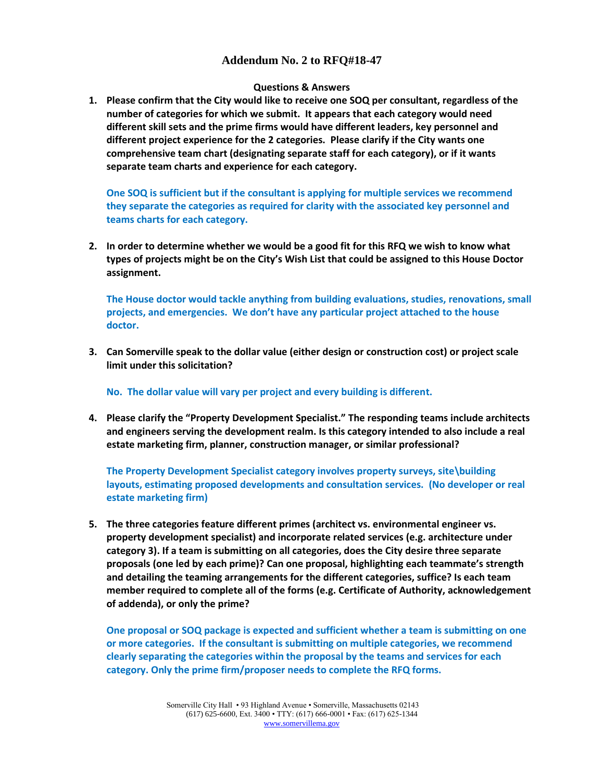### **Addendum No. 2 to [RFQ#18-47](#page-0-0)**

#### **Questions & Answers**

**1. Please confirm that the City would like to receive one SOQ per consultant, regardless of the number of categories for which we submit. It appears that each category would need different skill sets and the prime firms would have different leaders, key personnel and different project experience for the 2 categories. Please clarify if the City wants one comprehensive team chart (designating separate staff for each category), or if it wants separate team charts and experience for each category.**

**One SOQ is sufficient but if the consultant is applying for multiple services we recommend they separate the categories as required for clarity with the associated key personnel and teams charts for each category.**

**2. In order to determine whether we would be a good fit for this RFQ we wish to know what types of projects might be on the City's Wish List that could be assigned to this House Doctor assignment.**

**The House doctor would tackle anything from building evaluations, studies, renovations, small projects, and emergencies. We don't have any particular project attached to the house doctor.**

**3. Can Somerville speak to the dollar value (either design or construction cost) or project scale limit under this solicitation?**

**No. The dollar value will vary per project and every building is different.** 

**4. Please clarify the "Property Development Specialist." The responding teams include architects and engineers serving the development realm. Is this category intended to also include a real estate marketing firm, planner, construction manager, or similar professional?**

**The Property Development Specialist category involves property surveys, site\building layouts, estimating proposed developments and consultation services. (No developer or real estate marketing firm)**

**5. The three categories feature different primes (architect vs. environmental engineer vs. property development specialist) and incorporate related services (e.g. architecture under category 3). If a team is submitting on all categories, does the City desire three separate proposals (one led by each prime)? Can one proposal, highlighting each teammate's strength and detailing the teaming arrangements for the different categories, suffice? Is each team member required to complete all of the forms (e.g. Certificate of Authority, acknowledgement of addenda), or only the prime?**

**One proposal or SOQ package is expected and sufficient whether a team is submitting on one or more categories. If the consultant is submitting on multiple categories, we recommend clearly separating the categories within the proposal by the teams and services for each category. Only the prime firm/proposer needs to complete the RFQ forms.**